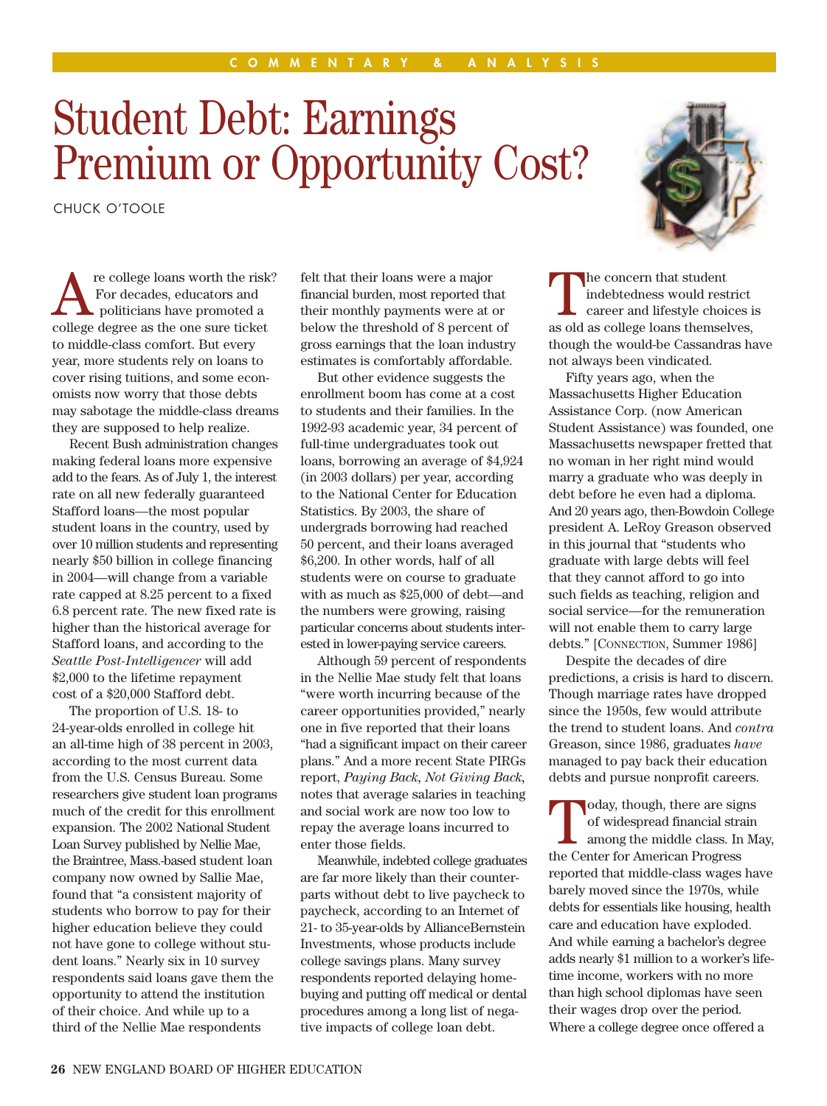## Student Debt: Earnings Premium or Opportunity Cost?

CHUCK O'TOOLE

re college loans worth the risk?<br>
For decades, educators and<br>
politicians have promoted a<br>
college degree as the one sure ticket For decades, educators and college degree as the one sure ticket to middle-class comfort. But every year, more students rely on loans to cover rising tuitions, and some economists now worry that those debts may sabotage the middle-class dreams they are supposed to help realize.

Recent Bush administration changes making federal loans more expensive add to the fears. As of July 1, the interest rate on all new federally guaranteed Stafford loans—the most popular student loans in the country, used by over 10 million students and representing nearly \$50 billion in college financing in 2004—will change from a variable rate capped at 8.25 percent to a fixed 6.8 percent rate. The new fixed rate is higher than the historical average for Stafford loans, and according to the *Seattle Post-Intelligencer* will add \$2,000 to the lifetime repayment cost of a \$20,000 Stafford debt.

The proportion of U.S. 18- to 24-year-olds enrolled in college hit an all-time high of 38 percent in 2003, according to the most current data from the U.S. Census Bureau. Some researchers give student loan programs much of the credit for this enrollment expansion. The 2002 National Student Loan Survey published by Nellie Mae, the Braintree, Mass.-based student loan company now owned by Sallie Mae, found that "a consistent majority of students who borrow to pay for their higher education believe they could not have gone to college without student loans." Nearly six in 10 survey respondents said loans gave them the opportunity to attend the institution of their choice. And while up to a third of the Nellie Mae respondents

felt that their loans were a major financial burden, most reported that their monthly payments were at or below the threshold of 8 percent of gross earnings that the loan industry estimates is comfortably affordable.

But other evidence suggests the enrollment boom has come at a cost to students and their families. In the 1992-93 academic year, 34 percent of full-time undergraduates took out loans, borrowing an average of \$4,924 (in 2003 dollars) per year, according to the National Center for Education Statistics. By 2003, the share of undergrads borrowing had reached 50 percent, and their loans averaged \$6,200. In other words, half of all students were on course to graduate with as much as \$25,000 of debt—and the numbers were growing, raising particular concerns about students interested in lower-paying service careers.

Although 59 percent of respondents in the Nellie Mae study felt that loans "were worth incurring because of the career opportunities provided," nearly one in five reported that their loans "had a significant impact on their career plans." And a more recent State PIRGs report, *Paying Back, Not Giving Back,* notes that average salaries in teaching and social work are now too low to repay the average loans incurred to enter those fields.

Meanwhile, indebted college graduates are far more likely than their counterparts without debt to live paycheck to paycheck, according to an Internet of 21- to 35-year-olds by AllianceBernstein Investments, whose products include college savings plans. Many survey respondents reported delaying homebuying and putting off medical or dental procedures among a long list of negative impacts of college loan debt.

The concern that student<br>
indebtedness would restrict<br>
career and lifestyle choices is<br>
as old as collogo loans thomsolves indebtedness would restrict as old as college loans themselves, though the would-be Cassandras have not always been vindicated.

Fifty years ago, when the Massachusetts Higher Education Assistance Corp. (now American Student Assistance) was founded, one Massachusetts newspaper fretted that no woman in her right mind would marry a graduate who was deeply in debt before he even had a diploma. And 20 years ago, then-Bowdoin College president A. LeRoy Greason observed in this journal that "students who graduate with large debts will feel that they cannot afford to go into such fields as teaching, religion and social service—for the remuneration will not enable them to carry large debts." [CONNECTION, Summer 1986]

Despite the decades of dire predictions, a crisis is hard to discern. Though marriage rates have dropped since the 1950s, few would attribute the trend to student loans. And *contra* Greason, since 1986, graduates *have* managed to pay back their education debts and pursue nonprofit careers.

Today, though, there are signs<br>of widespread financial strain<br>among the middle class. In Mi of widespread financial strain among the middle class. In May, the Center for American Progress reported that middle-class wages have barely moved since the 1970s, while debts for essentials like housing, health care and education have exploded. And while earning a bachelor's degree adds nearly \$1 million to a worker's lifetime income, workers with no more than high school diplomas have seen their wages drop over the period. Where a college degree once offered a